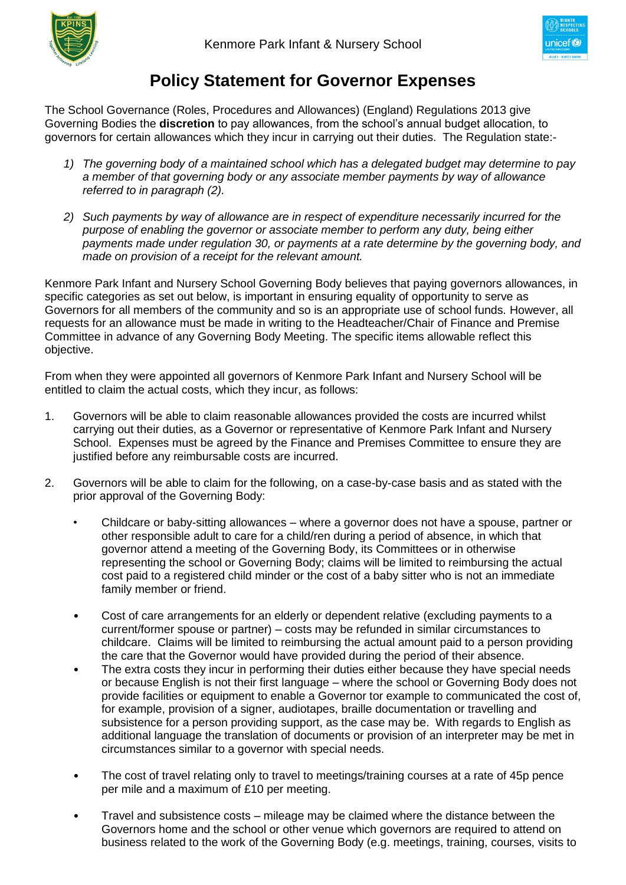



## **Policy Statement for Governor Expenses**

The School Governance (Roles, Procedures and Allowances) (England) Regulations 2013 give Governing Bodies the **discretion** to pay allowances, from the school's annual budget allocation, to governors for certain allowances which they incur in carrying out their duties. The Regulation state:-

- *1) The governing body of a maintained school which has a delegated budget may determine to pay a member of that governing body or any associate member payments by way of allowance referred to in paragraph (2).*
- *2) Such payments by way of allowance are in respect of expenditure necessarily incurred for the purpose of enabling the governor or associate member to perform any duty, being either payments made under regulation 30, or payments at a rate determine by the governing body, and made on provision of a receipt for the relevant amount.*

Kenmore Park Infant and Nursery School Governing Body believes that paying governors allowances, in specific categories as set out below, is important in ensuring equality of opportunity to serve as Governors for all members of the community and so is an appropriate use of school funds. However, all requests for an allowance must be made in writing to the Headteacher/Chair of Finance and Premise Committee in advance of any Governing Body Meeting. The specific items allowable reflect this objective.

From when they were appointed all governors of Kenmore Park Infant and Nursery School will be entitled to claim the actual costs, which they incur, as follows:

- 1. Governors will be able to claim reasonable allowances provided the costs are incurred whilst carrying out their duties, as a Governor or representative of Kenmore Park Infant and Nursery School. Expenses must be agreed by the Finance and Premises Committee to ensure they are justified before any reimbursable costs are incurred.
- 2. Governors will be able to claim for the following, on a case-by-case basis and as stated with the prior approval of the Governing Body:
	- Childcare or baby-sitting allowances where a governor does not have a spouse, partner or other responsible adult to care for a child/ren during a period of absence, in which that governor attend a meeting of the Governing Body, its Committees or in otherwise representing the school or Governing Body; claims will be limited to reimbursing the actual cost paid to a registered child minder or the cost of a baby sitter who is not an immediate family member or friend.
	- Cost of care arrangements for an elderly or dependent relative (excluding payments to a current/former spouse or partner) – costs may be refunded in similar circumstances to childcare. Claims will be limited to reimbursing the actual amount paid to a person providing the care that the Governor would have provided during the period of their absence.
	- The extra costs they incur in performing their duties either because they have special needs or because English is not their first language – where the school or Governing Body does not provide facilities or equipment to enable a Governor tor example to communicated the cost of, for example, provision of a signer, audiotapes, braille documentation or travelling and subsistence for a person providing support, as the case may be. With regards to English as additional language the translation of documents or provision of an interpreter may be met in circumstances similar to a governor with special needs.
	- The cost of travel relating only to travel to meetings/training courses at a rate of 45p pence per mile and a maximum of £10 per meeting.
	- Travel and subsistence costs mileage may be claimed where the distance between the Governors home and the school or other venue which governors are required to attend on business related to the work of the Governing Body (e.g. meetings, training, courses, visits to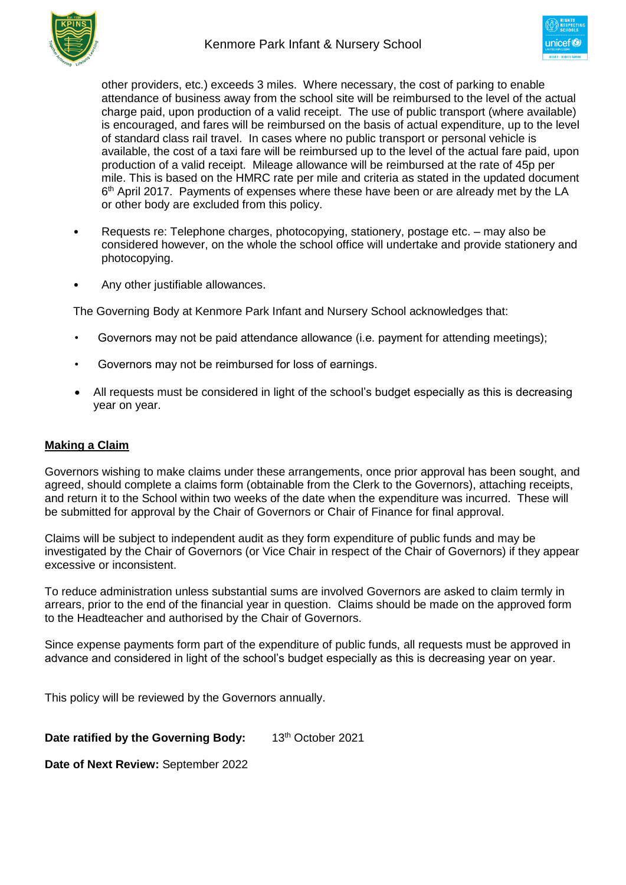



other providers, etc.) exceeds 3 miles. Where necessary, the cost of parking to enable attendance of business away from the school site will be reimbursed to the level of the actual charge paid, upon production of a valid receipt. The use of public transport (where available) is encouraged, and fares will be reimbursed on the basis of actual expenditure, up to the level of standard class rail travel. In cases where no public transport or personal vehicle is available, the cost of a taxi fare will be reimbursed up to the level of the actual fare paid, upon production of a valid receipt. Mileage allowance will be reimbursed at the rate of 45p per mile. This is based on the HMRC rate per mile and criteria as stated in the updated document 6<sup>th</sup> April 2017. Payments of expenses where these have been or are already met by the LA or other body are excluded from this policy.

- Requests re: Telephone charges, photocopying, stationery, postage etc. may also be considered however, on the whole the school office will undertake and provide stationery and photocopying.
- Any other justifiable allowances.

The Governing Body at Kenmore Park Infant and Nursery School acknowledges that:

- Governors may not be paid attendance allowance (i.e. payment for attending meetings);
- Governors may not be reimbursed for loss of earnings.
- All requests must be considered in light of the school's budget especially as this is decreasing year on year.

## **Making a Claim**

Governors wishing to make claims under these arrangements, once prior approval has been sought, and agreed, should complete a claims form (obtainable from the Clerk to the Governors), attaching receipts, and return it to the School within two weeks of the date when the expenditure was incurred. These will be submitted for approval by the Chair of Governors or Chair of Finance for final approval.

Claims will be subject to independent audit as they form expenditure of public funds and may be investigated by the Chair of Governors (or Vice Chair in respect of the Chair of Governors) if they appear excessive or inconsistent.

To reduce administration unless substantial sums are involved Governors are asked to claim termly in arrears, prior to the end of the financial year in question. Claims should be made on the approved form to the Headteacher and authorised by the Chair of Governors.

Since expense payments form part of the expenditure of public funds, all requests must be approved in advance and considered in light of the school's budget especially as this is decreasing year on year.

This policy will be reviewed by the Governors annually.

**Date ratified by the Governing Body:** 13<sup>th</sup> October 2021

**Date of Next Review:** September 2022